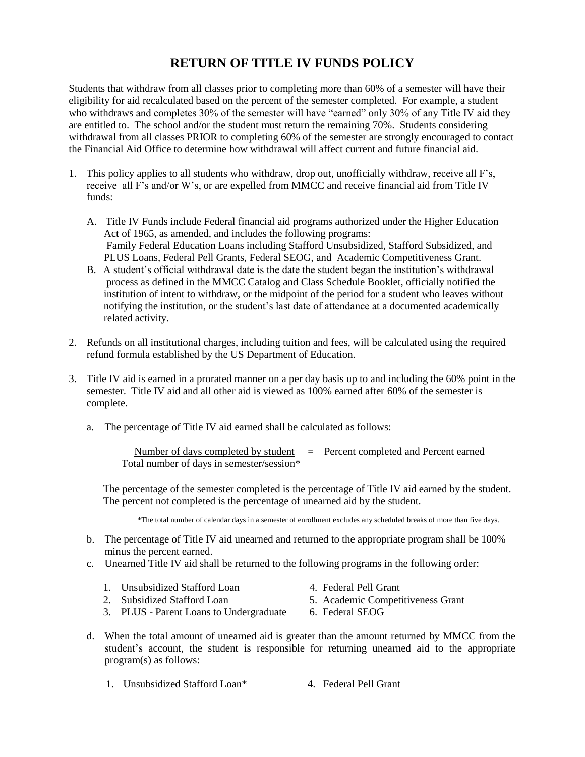## **RETURN OF TITLE IV FUNDS POLICY**

Students that withdraw from all classes prior to completing more than 60% of a semester will have their eligibility for aid recalculated based on the percent of the semester completed. For example, a student who withdraws and completes 30% of the semester will have "earned" only 30% of any Title IV aid they are entitled to. The school and/or the student must return the remaining 70%. Students considering withdrawal from all classes PRIOR to completing 60% of the semester are strongly encouraged to contact the Financial Aid Office to determine how withdrawal will affect current and future financial aid.

- 1. This policy applies to all students who withdraw, drop out, unofficially withdraw, receive all F's, receive all F's and/or W's, or are expelled from MMCC and receive financial aid from Title IV funds:
	- A. Title IV Funds include Federal financial aid programs authorized under the Higher Education Act of 1965, as amended, and includes the following programs: Family Federal Education Loans including Stafford Unsubsidized, Stafford Subsidized, and PLUS Loans, Federal Pell Grants, Federal SEOG, and Academic Competitiveness Grant.
	- B. A student's official withdrawal date is the date the student began the institution's withdrawal process as defined in the MMCC Catalog and Class Schedule Booklet, officially notified the institution of intent to withdraw, or the midpoint of the period for a student who leaves without notifying the institution, or the student's last date of attendance at a documented academically related activity.
- 2. Refunds on all institutional charges, including tuition and fees, will be calculated using the required refund formula established by the US Department of Education.
- 3. Title IV aid is earned in a prorated manner on a per day basis up to and including the 60% point in the semester. Title IV aid and all other aid is viewed as 100% earned after 60% of the semester is complete.
	- a. The percentage of Title IV aid earned shall be calculated as follows:

Number of days completed by student  $=$  Percent completed and Percent earned Total number of days in semester/session\*

The percentage of the semester completed is the percentage of Title IV aid earned by the student. The percent not completed is the percentage of unearned aid by the student.

\*The total number of calendar days in a semester of enrollment excludes any scheduled breaks of more than five days.

- b. The percentage of Title IV aid unearned and returned to the appropriate program shall be 100% minus the percent earned.
- c. Unearned Title IV aid shall be returned to the following programs in the following order:
	- 1. Unsubsidized Stafford Loan 4. Federal Pell Grant
		-
	- 2. Subsidized Stafford Loan 5. Academic Competitiveness Grant
- - 3. PLUS Parent Loans to Undergraduate 6. Federal SEOG
- 
- d. When the total amount of unearned aid is greater than the amount returned by MMCC from the student's account, the student is responsible for returning unearned aid to the appropriate program(s) as follows:
	- 1. Unsubsidized Stafford Loan\* 4. Federal Pell Grant
		-